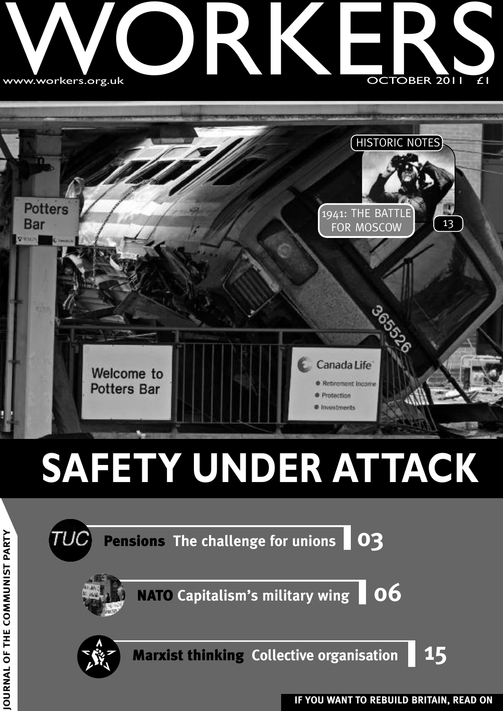### w ww.workers.org.u k WWW.Workers.org.u **ONE** RKE OCTOBER 2011 £1 TOBER 20 SIGNATION



## **SAFETY UNDER ATTACK**

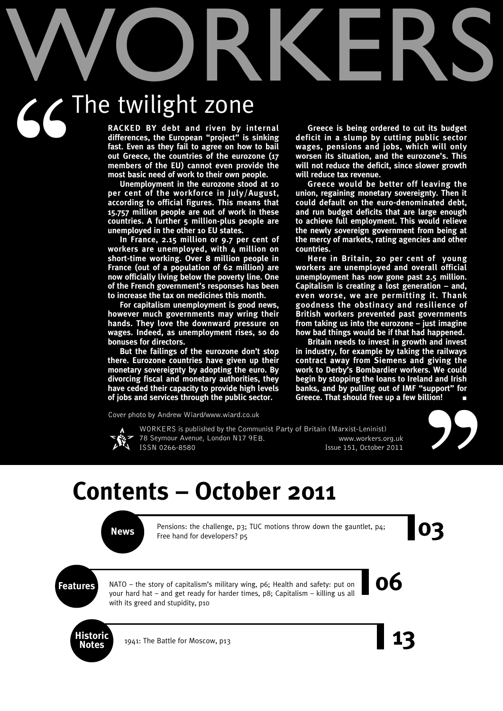# WORKERS The twilight zone  $G$ <sup>T</sup>

**RACKED BY debt and riven by internal differences, the European "project" is sinking fast. Even as they fail to agree on how to bail out Greece, the countries of the eurozone (17 members of the EU) cannot even provide the most basic need of work to their own people.**

**Unemployment in the eurozone stood at 10 per cent of the workforce in July/August, according to official figures. This means that 15.757 million people are out of work in these countries. A further 5 million-plus people are unemployed in the other 10 EU states.**

**In France, 2.15 million or 9.7 per cent of workers are unemployed, with 4 million on short-time working. Over 8 million people in France (out of a population of 62 million) are now officially living below the poverty line. One of the French government's responses has been to increase the tax on medicines this month.**

**For capitalism unemployment is good news, however much governments may wring their hands. They love the downward pressure on wages. Indeed, as unemployment rises, so do bonuses for directors.**

**But the failings of the eurozone don't stop there. Eurozone countries have given up their monetary sovereignty by adopting the euro. By divorcing fiscal and monetary authorities, they have ceded their capacity to provide high levels of jobs and services through the public sector.**

**Greece is being ordered to cut its budget deficit in a slump by cutting public sector wages, pensions and jobs, which will only worsen its situation, and the eurozone's. This will not reduce the deficit, since slower growth will reduce tax revenue.**

**Greece would be better off leaving the union, regaining monetary sovereignty. Then it could default on the euro-denominated debt, and run budget deficits that are large enough to achieve full employment. This would relieve the newly sovereign government from being at the mercy of markets, rating agencies and other countries.**

**Here in Britain, 20 per cent of young workers are unemployed and overall official unemployment has now gone past 2.5 million. Capitalism is creating a lost generation – and, even worse, we are permitting it. Thank goodness the obstinacy and resilience of British workers prevented past governments from taking us into the eurozone – just imagine how bad things would be if that had happened.**

**Britain needs to invest in growth and invest in industry, for example by taking the railways contract away from Siemens and giving the work to Derby's Bombardier workers. We could begin by stopping the loans to Ireland and Irish banks, and by pulling out of IMF "support" for Greece. That should free up a few billion! ■**

Cover photo by Andrew Wiard/www.wiard.co.uk



WORKERS is published by the Communist Party of Britain (Marxist-Leninist) 78 Seymour Avenue, London N17 9EB. www.workers.org.uk ISSN 0266-8580 Issue 151, October 2011



### **Contents – October 2011**

**News** Pensions: the challenge, p3; TUC motions throw down the gauntlet, p4;<br>Free hand for developers? p5 Pensions: the challenge, p3; TUC motions throw down the gauntlet, p4; Free hand for developers? p5

**Features DEP**<br>**Reatures DEP**<br>**Reatures DEP**<br>**Readures OEP**<br>**Readures 06**<br>**CEP III**<br>**CEP III**<br>**CEP III**<br>**CEP III**<br>**CEP III**<br>**CEP III**<br>**CEP III**<br>**CEP III**<br>**CEP III**<br>**CEP III**<br>**CEP III**<br>**CEP III**<br>**CEP III**<br>**CEP III** NATO – the story of capitalism's military wing, p6; Health and safety: put on your hard hat – and get ready for harder times, p8; Capitalism – killing us all with its greed and stupidity, p10



**Notes** 1941: The Battle for Moscow, p13 **13**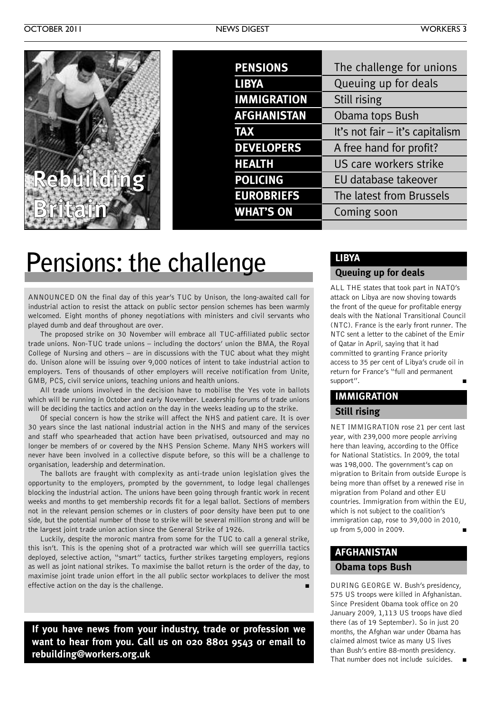| <b>PENSIONS</b>    | The challenge for unions        |
|--------------------|---------------------------------|
| <b>LIBYA</b>       | Queuing up for deals            |
| <b>IMMIGRATION</b> | Still rising                    |
| <b>AFGHANISTAN</b> | Obama tops Bush                 |
| <b>TAX</b>         | It's not fair - it's capitalism |
| <b>DEVELOPERS</b>  | A free hand for profit?         |
| <b>HEALTH</b>      | US care workers strike          |
| <b>POLICING</b>    | EU database takeover            |
| <b>EUROBRIEFS</b>  | The latest from Brussels        |
| <b>WHAT'S ON</b>   | Coming soon                     |
|                    |                                 |

### **Pensions: the challenge**

ANNOUNCED ON the final day of this year's TUC by Unison, the long-awaited call for industrial action to resist the attack on public sector pension schemes has been warmly welcomed. Eight months of phoney negotiations with ministers and civil servants who played dumb and deaf throughout are over.

The proposed strike on 30 November will embrace all TUC-affiliated public sector trade unions. Non-TUC trade unions – including the doctors' union the BMA, the Royal College of Nursing and others – are in discussions with the TUC about what they might do. Unison alone will be issuing over 9,000 notices of intent to take industrial action to employers. Tens of thousands of other employers will receive notification from Unite, GMB, PCS, civil service unions, teaching unions and health unions.

All trade unions involved in the decision have to mobilise the Yes vote in ballots which will be running in October and early November. Leadership forums of trade unions will be deciding the tactics and action on the day in the weeks leading up to the strike.

Of special concern is how the strike will affect the NHS and patient care. It is over 30 years since the last national industrial action in the NHS and many of the services and staff who spearheaded that action have been privatised, outsourced and may no longer be members of or covered by the NHS Pension Scheme. Many NHS workers will never have been involved in a collective dispute before, so this will be a challenge to organisation, leadership and determination.

The ballots are fraught with complexity as anti-trade union legislation gives the opportunity to the employers, prompted by the government, to lodge legal challenges blocking the industrial action. The unions have been going through frantic work in recent weeks and months to get membership records fit for a legal ballot. Sections of members not in the relevant pension schemes or in clusters of poor density have been put to one side, but the potential number of those to strike will be several million strong and will be the largest joint trade union action since the General Strike of 1926.

Luckily, despite the moronic mantra from some for the TUC to call a general strike, this isn't. This is the opening shot of a protracted war which will see guerrilla tactics deployed, selective action, "smart" tactics, further strikes targeting employers, regions as well as joint national strikes. To maximise the ballot return is the order of the day, to maximise joint trade union effort in the all public sector workplaces to deliver the most effective action on the day is the challenge. **■**

**If you have news from your industry, trade or profession we want to hear from you. Call us on 020 8801 9543 or email to rebuilding@workers.org.uk**

### **LIBYA**

### **Queuing up for deals**

ALL THE states that took part in NATO's attack on Libya are now shoving towards the front of the queue for profitable energy deals with the National Transitional Council (NTC). France is the early front runner. The NTC sent a letter to the cabinet of the Emir of Qatar in April, saying that it had committed to granting France priority access to 35 per cent of Libya's crude oil in return for France's "full and permanent support".

### **IMMIGRATION Still rising**

NET IMMIGRATION rose 21 per cent last year, with 239,000 more people arriving here than leaving, according to the Office for National Statistics. In 2009, the total was 198,000. The government's cap on migration to Britain from outside Europe is being more than offset by a renewed rise in migration from Poland and other EU countries. Immigration from within the EU, which is not subject to the coalition's immigration cap, rose to 39,000 in 2010, up from 5,000 in 2009. **■**

### **AFGHANISTAN**

### **Obama tops Bush**

DURING GEORGE W. Bush's presidency, 575 US troops were killed in Afghanistan. Since President Obama took office on 20 January 2009, 1,113 US troops have died there (as of 19 September). So in just 20 months, the Afghan war under Obama has claimed almost twice as many US lives than Bush's entire 88-month presidency. That number does not include suicides. **■**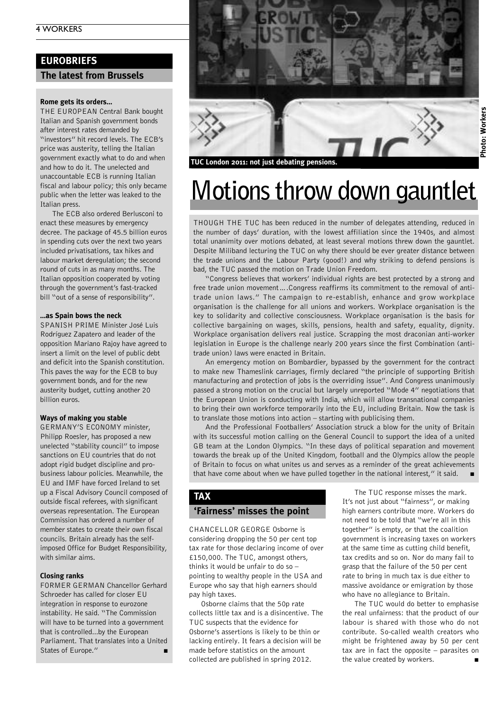### **EUROBRIEFS**

### **The latest from Brussels**

#### **Rome gets its orders…**

THE EUROPEAN Central Bank bought Italian and Spanish government bonds after interest rates demanded by "investors" hit record levels. The ECB's price was austerity, telling the Italian government exactly what to do and when and how to do it. The unelected and unaccountable ECB is running Italian fiscal and labour policy; this only became public when the letter was leaked to the Italian press.

The ECB also ordered Berlusconi to enact these measures by emergency decree. The package of 45.5 billion euros in spending cuts over the next two years included privatisations, tax hikes and labour market deregulation; the second round of cuts in as many months. The Italian opposition cooperated by voting through the government's fast-tracked bill "out of a sense of responsibility".

#### **…as Spain bows the neck**

SPANISH PRIME Minister José Luis Rodríguez Zapatero and leader of the opposition Mariano Rajoy have agreed to insert a limit on the level of public debt and deficit into the Spanish constitution. This paves the way for the ECB to buy government bonds, and for the new austerity budget, cutting another 20 billion euros.

#### **Ways of making you stable**

GERMANY'S ECONOMY minister, Philipp Roesler, has proposed a new unelected "stability council" to impose sanctions on EU countries that do not adopt rigid budget discipline and probusiness labour policies. Meanwhile, the EU and IMF have forced Ireland to set up a Fiscal Advisory Council composed of outside fiscal referees, with significant overseas representation. The European Commission has ordered a number of member states to create their own fiscal councils. Britain already has the selfimposed Office for Budget Responsibility, with similar aims.

#### **Closing ranks**

FORMER GERMAN Chancellor Gerhard Schroeder has called for closer EU integration in response to eurozone instability. He said. "The Commission will have to be turned into a government that is controlled...by the European Parliament. That translates into a United States of Europe."



### **Motions throw down gauntlet**

THOUGH THE TUC has been reduced in the number of delegates attending, reduced in the number of days' duration, with the lowest affiliation since the 1940s, and almost total unanimity over motions debated, at least several motions threw down the gauntlet. Despite Miliband lecturing the TUC on why there should be ever greater distance between the trade unions and the Labour Party (good!) and why striking to defend pensions is bad, the TUC passed the motion on Trade Union Freedom.

"Congress believes that workers' individual rights are best protected by a strong and free trade union movement….Congress reaffirms its commitment to the removal of antitrade union laws." The campaign to re-establish, enhance and grow workplace organisation is the challenge for all unions and workers. Workplace organisation is the key to solidarity and collective consciousness. Workplace organisation is the basis for collective bargaining on wages, skills, pensions, health and safety, equality, dignity. Workplace organisation delivers real justice. Scrapping the most draconian anti-worker legislation in Europe is the challenge nearly 200 years since the first Combination (antitrade union) laws were enacted in Britain.

An emergency motion on Bombardier, bypassed by the government for the contract to make new Thameslink carriages, firmly declared "the principle of supporting British manufacturing and protection of jobs is the overriding issue". And Congress unanimously passed a strong motion on the crucial but largely unreported "Mode 4" negotiations that the European Union is conducting with India, which will allow transnational companies to bring their own workforce temporarily into the EU, including Britain. Now the task is to translate those motions into action – starting with publicising them.

And the Professional Footballers' Association struck a blow for the unity of Britain with its successful motion calling on the General Council to support the idea of a united GB team at the London Olympics. "In these days of political separation and movement towards the break up of the United Kingdom, football and the Olympics allow the people of Britain to focus on what unites us and serves as a reminder of the great achievements that have come about when we have pulled together in the national interest," it said. **■**

### **TAX**

### **'Fairness' misses the point**

CHANCELLOR GEORGE Osborne is considering dropping the 50 per cent top tax rate for those declaring income of over £150,000. The TUC, amongst others, thinks it would be unfair to do so – pointing to wealthy people in the USA and Europe who say that high earners should pay high taxes.

Osborne claims that the 50p rate collects little tax and is a disincentive. The TUC suspects that the evidence for Osborne's assertions is likely to be thin or lacking entirely. It fears a decision will be made before statistics on the amount collected are published in spring 2012.

The TUC response misses the mark. It's not just about "fairness", or making high earners contribute more. Workers do not need to be told that "we're all in this together" is empty, or that the coalition government is increasing taxes on workers at the same time as cutting child benefit, tax credits and so on. Nor do many fail to grasp that the failure of the 50 per cent rate to bring in much tax is due either to massive avoidance or emigration by those who have no allegiance to Britain.

The TUC would do better to emphasise the real unfairness: that the product of our labour is shared with those who do not contribute. So-called wealth creators who might be frightened away by 50 per cent tax are in fact the opposite – parasites on the value created by workers.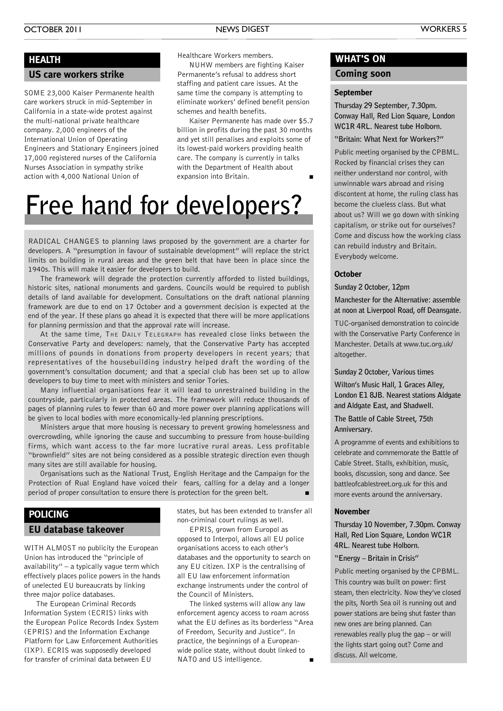### **HEALTH**

#### **US care workers strike**

SOME 23,000 Kaiser Permanente health care workers struck in mid-September in California in a state-wide protest against the multi-national private healthcare company. 2,000 engineers of the International Union of Operating Engineers and Stationary Engineers joined 17,000 registered nurses of the California Nurses Association in sympathy strike action with 4,000 National Union of

Healthcare Workers members.

NUHW members are fighting Kaiser Permanente's refusal to address short staffing and patient care issues. At the same time the company is attempting to eliminate workers' defined benefit pension schemes and health benefits.

Kaiser Permanente has made over \$5.7 billion in profits during the past 30 months and yet still penalises and exploits some of its lowest-paid workers providing health care. The company is currently in talks with the Department of Health about expansion into Britain. **■**

### **Free hand for developers?**

RADICAL CHANGES to planning laws proposed by the government are a charter for developers. A "presumption in favour of sustainable development" will replace the strict limits on building in rural areas and the green belt that have been in place since the 1940s. This will make it easier for developers to build.

The framework will degrade the protection currently afforded to listed buildings, historic sites, national monuments and gardens. Councils would be required to publish details of land available for development. Consultations on the draft national planning framework are due to end on 17 October and a government decision is expected at the end of the year. If these plans go ahead it is expected that there will be more applications for planning permission and that the approval rate will increase.

At the same time, THE DAILY TELEGRAPH has revealed close links between the Conservative Party and developers: namely, that the Conservative Party has accepted millions of pounds in donations from property developers in recent years; that representatives of the housebuilding industry helped draft the wording of the government's consultation document; and that a special club has been set up to allow developers to buy time to meet with ministers and senior Tories.

Many influential organisations fear it will lead to unrestrained building in the countryside, particularly in protected areas. The framework will reduce thousands of pages of planning rules to fewer than 60 and more power over planning applications will be given to local bodies with more economically-led planning prescriptions.

Ministers argue that more housing is necessary to prevent growing homelessness and overcrowding, while ignoring the cause and succumbing to pressure from house-building firms, which want access to the far more lucrative rural areas. Less profitable "brownfield" sites are not being considered as a possible strategic direction even though many sites are still available for housing.

Organisations such as the National Trust, English Heritage and the Campaign for the Protection of Rual England have voiced their fears, calling for a delay and a longer period of proper consultation to ensure there is protection for the green belt.

### **EU database takeover POLICING**

WITH ALMOST no publicity the European Union has introduced the "principle of availability" – a typically vague term which effectively places police powers in the hands of unelected EU bureaucrats by linking three major police databases.

The European Criminal Records Information System (ECRIS) links with the European Police Records Index System (EPRIS) and the Information Exchange Platform for Law Enforcement Authorities (IXP). ECRIS was supposedly developed for transfer of criminal data between EU

states, but has been extended to transfer all non-criminal court rulings as well.

EPRIS, grown from Europol as opposed to Interpol, allows all EU police organisations access to each other's databases and the opportunity to search on any EU citizen. IXP is the centralising of all EU law enforcement information exchange instruments under the control of the Council of Ministers.

The linked systems will allow any law enforcement agency access to roam across what the EU defines as its borderless "Area of Freedom, Security and Justice". In practice, the beginnings of a Europeanwide police state, without doubt linked to  $NATO$  and US intelligence.

### **WHAT'S ON**

### **Coming soon**

#### **September**

**Thursday 29 September, 7.30pm. Conway Hall, Red Lion Square, London WC1R 4RL. Nearest tube Holborn.**

**"Britain: What Next for Workers?"**

Public meeting organised by the CPBML. Rocked by financial crises they can neither understand nor control, with unwinnable wars abroad and rising discontent at home, the ruling class has become the clueless class. But what about us? Will we go down with sinking capitalism, or strike out for ourselves? Come and discuss how the working class can rebuild industry and Britain. Everybody welcome.

#### **October**

**Sunday 2 October, 12pm**

**Manchester for the Alternative: assemble at noon at Liverpool Road, off Deansgate.**

TUC-organised demonstration to coincide with the Conservative Party Conference in Manchester. Details at www.tuc.org.uk/ altogether.

**Sunday 2 October, Various times**

**Wilton's Music Hall, 1 Graces Alley, London E1 8JB. Nearest stations Aldgate and Aldgate East, and Shadwell.**

**The Battle of Cable Street, 75th Anniversary.**

A programme of events and exhibitions to celebrate and commemorate the Battle of Cable Street. Stalls, exhibition, music, books, discussion, song and dance. See battleofcablestreet.org.uk for this and more events around the anniversary.

#### **November**

**Thursday 10 November, 7.30pm. Conway Hall, Red Lion Square, London WC1R 4RL. Nearest tube Holborn.**

#### **"Energy – Britain in Crisis"**

Public meeting organised by the CPBML. This country was built on power: first steam, then electricity. Now they've closed the pits, North Sea oil is running out and power stations are being shut faster than new ones are being planned. Can renewables really plug the gap – or will the lights start going out? Come and discuss. All welcome.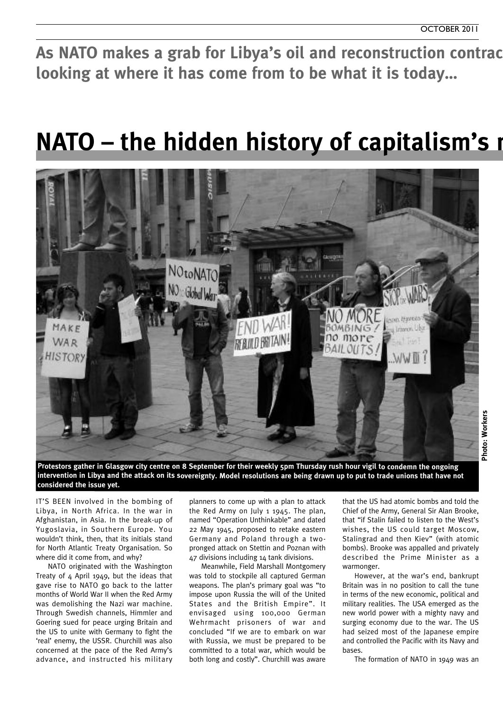As NATO makes a grab for Libya's oil and reconstruction contrac **looking at where it has come from to be what it is today…**

### **NATO** – the hidden history of capitalism's **miltary**



**Photo: Workers**

Photo: Workers

Protestors gather in Glasgow city centre on 8 September for their weekly 5pm Thursday rush hour vigil to condemn the ongoing intervention in Libya and the attack on its sovereignty. Model resolutions are being drawn up to put to trade unions that have not **considered the issue yet.**

IT'S BEEN involved in the bombing of Libya, in North Africa. In the war in Afghanistan, in Asia. In the break-up of Yugoslavia, in Southern Europe. You wouldn't think, then, that its initials stand for North Atlantic Treaty Organisation. So where did it come from, and why?

NATO originated with the Washington Treaty of 4 April 1949, but the ideas that gave rise to NATO go back to the latter months of World War II when the Red Army was demolishing the Nazi war machine. Through Swedish channels, Himmler and Goering sued for peace urging Britain and the US to unite with Germany to fight the 'real' enemy, the USSR. Churchill was also concerned at the pace of the Red Army's advance, and instructed his military

planners to come up with a plan to attack the Red Army on July 1 1945. The plan, named "Operation Unthinkable" and dated 22 May 1945, proposed to retake eastern Germany and Poland through a twopronged attack on Stettin and Poznan with 47 divisions including 14 tank divisions.

Meanwhile, Field Marshall Montgomery was told to stockpile all captured German weapons. The plan's primary goal was "to impose upon Russia the will of the United States and the British Empire". It envisaged using 100,000 German Wehrmacht prisoners of war and concluded "If we are to embark on war with Russia, we must be prepared to be committed to a total war, which would be both long and costly". Churchill was aware

that the US had atomic bombs and told the Chief of the Army, General Sir Alan Brooke, that "if Stalin failed to listen to the West's wishes, the US could target Moscow, Stalingrad and then Kiev" (with atomic bombs). Brooke was appalled and privately described the Prime Minister as a warmonger.

However, at the war's end, bankrupt Britain was in no position to call the tune in terms of the new economic, political and military realities. The USA emerged as the new world power with a mighty navy and surging economy due to the war. The US had seized most of the Japanese empire and controlled the Pacific with its Navy and bases.

The formation of NATO in 1949 was an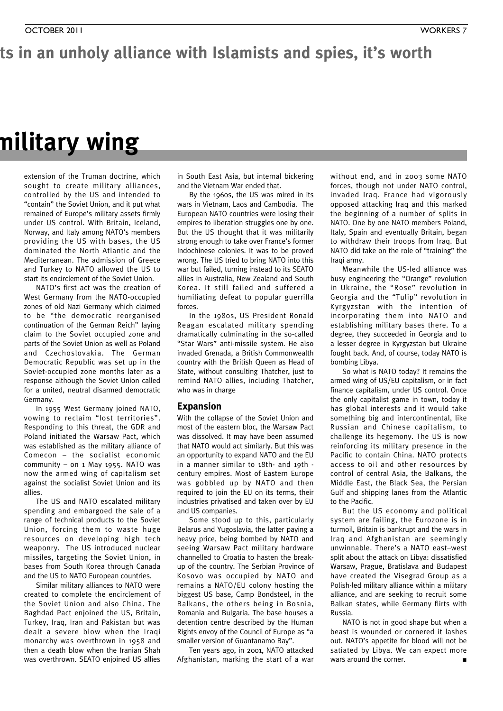### ts in an unholy alliance with Islamists and spies, it's worth

### **NATO – the hidden history of capitalism's military wing**

extension of the Truman doctrine, which sought to create military alliances, controlled by the US and intended to "contain" the Soviet Union, and it put what remained of Europe's military assets firmly under US control. With Britain, Iceland, Norway, and Italy among NATO's members providing the US with bases, the US dominated the North Atlantic and the Mediterranean. The admission of Greece and Turkey to NATO allowed the US to start its encirclement of the Soviet Union.

NATO's first act was the creation of West Germany from the NATO-occupied zones of old Nazi Germany which claimed to be "the democratic reorganised continuation of the German Reich" laying claim to the Soviet occupied zone and parts of the Soviet Union as well as Poland and Czechoslovakia. The German Democratic Republic was set up in the Soviet-occupied zone months later as a response although the Soviet Union called for a united, neutral disarmed democratic Germany.

In 1955 West Germany joined NATO, vowing to reclaim "lost territories". Responding to this threat, the GDR and Poland initiated the Warsaw Pact, which was established as the military alliance of Comecon – the socialist economic community – on  $1$  May 1955. NATO was now the armed wing of capitalism set against the socialist Soviet Union and its allies.

The US and NATO escalated military spending and embargoed the sale of a range of technical products to the Soviet Union, forcing them to waste huge resources on developing high tech weaponry. The US introduced nuclear missiles, targeting the Soviet Union, in bases from South Korea through Canada and the US to NATO European countries.

Similar military alliances to NATO were created to complete the encirclement of the Soviet Union and also China. The Baghdad Pact enjoined the US, Britain, Turkey, Iraq, Iran and Pakistan but was dealt a severe blow when the Iraqi monarchy was overthrown in 1958 and then a death blow when the Iranian Shah was overthrown. SEATO enjoined US allies

in South East Asia, but internal bickering and the Vietnam War ended that.

By the 1960s, the US was mired in its wars in Vietnam, Laos and Cambodia. The European NATO countries were losing their empires to liberation struggles one by one. But the US thought that it was militarily strong enough to take over France's former Indochinese colonies. It was to be proved wrong. The US tried to bring NATO into this war but failed, turning instead to its SEATO allies in Australia, New Zealand and South Korea. It still failed and suffered a humiliating defeat to popular guerrilla forces.

In the 1980s, US President Ronald Reagan escalated military spending dramatically culminating in the so-called "Star Wars" anti-missile system. He also invaded Grenada, a British Commonwealth country with the British Queen as Head of State, without consulting Thatcher, just to remind NATO allies, including Thatcher, who was in charge

#### **Expansion**

With the collapse of the Soviet Union and most of the eastern bloc, the Warsaw Pact was dissolved. It may have been assumed that NATO would act similarly. But this was an opportunity to expand NATO and the EU in a manner similar to 18th- and 19th century empires. Most of Eastern Europe was gobbled up by NATO and then required to join the EU on its terms, their industries privatised and taken over by EU and US companies.

Some stood up to this, particularly Belarus and Yugoslavia, the latter paying a heavy price, being bombed by NATO and seeing Warsaw Pact military hardware channelled to Croatia to hasten the breakup of the country. The Serbian Province of Kosovo was occupied by NATO and remains a NATO/EU colony hosting the biggest US base, Camp Bondsteel, in the Balkans, the others being in Bosnia, Romania and Bulgaria. The base houses a detention centre described by the Human Rights envoy of the Council of Europe as "a smaller version of Guantanamo Bay".

Ten years ago, in 2001, NATO attacked Afghanistan, marking the start of a war without end, and in 2003 some NATO forces, though not under NATO control, invaded Iraq. France had vigorously opposed attacking Iraq and this marked the beginning of a number of splits in NATO. One by one NATO members Poland, Italy, Spain and eventually Britain, began to withdraw their troops from Iraq. But NATO did take on the role of "training" the Iraqi army.

Meanwhile the US-led alliance was busy engineering the "Orange" revolution in Ukraine, the "Rose" revolution in Georgia and the "Tulip" revolution in Kyrgyzstan with the intention of incorporating them into NATO and establishing military bases there. To a degree, they succeeded in Georgia and to a lesser degree in Kyrgyzstan but Ukraine fought back. And, of course, today NATO is bombing Libya.

So what is NATO today? It remains the armed wing of US/EU capitalism, or in fact finance capitalism, under US control. Once the only capitalist game in town, today it has global interests and it would take something big and intercontinental, like Russian and Chinese capitalism, to challenge its hegemony. The US is now reinforcing its military presence in the Pacific to contain China. NATO protects access to oil and other resources by control of central Asia, the Balkans, the Middle East, the Black Sea, the Persian Gulf and shipping lanes from the Atlantic to the Pacific.

But the US economy and political system are failing, the Eurozone is in turmoil, Britain is bankrupt and the wars in Iraq and Afghanistan are seemingly unwinnable. There's a NATO east–west split about the attack on Libya: dissatisfied Warsaw, Prague, Bratislava and Budapest have created the Visegrad Group as a Polish-led military alliance within a military alliance, and are seeking to recruit some Balkan states, while Germany flirts with Russia.

NATO is not in good shape but when a beast is wounded or cornered it lashes out. NATO's appetite for blood will not be satiated by Libya. We can expect more wars around the corner. **■**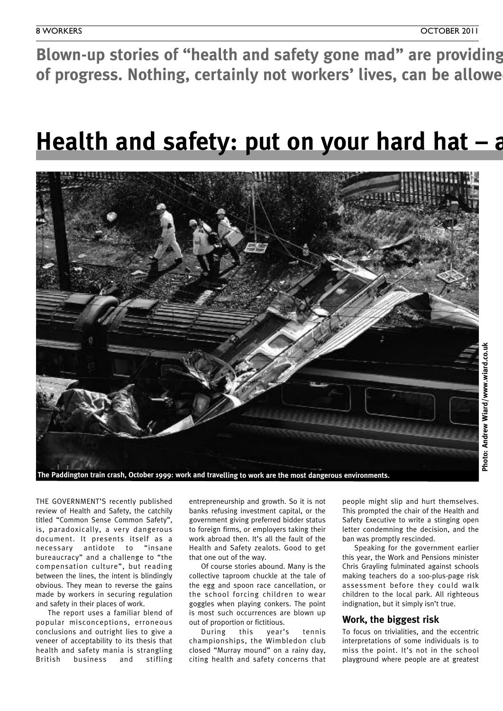Blown-up stories of "health and safety gone mad" are providing of progress. Nothing, certainly not workers' lives, can be allowe

### **Health** and safety: put on your hard hat – a



**Photo: Andrew**

**Wiard/w w**

**w.wiard.co.uk**

THE GOVERNMENT'S recently published review of Health and Safety, the catchily titled "Common Sense Common Safety", is, paradoxically, a very dangerous document. It presents itself as a necessary antidote to "insane bureaucracy" and a challenge to "the compensation culture", but reading between the lines, the intent is blindingly obvious. They mean to reverse the gains made by workers in securing regulation and safety in their places of work.

The report uses a familiar blend of popular misconceptions, erroneous conclusions and outright lies to give a veneer of acceptability to its thesis that health and safety mania is strangling British business and stifling

entrepreneurship and growth. So it is not banks refusing investment capital, or the government giving preferred bidder status to foreign firms, or employers taking their work abroad then. It's all the fault of the Health and Safety zealots. Good to get that one out of the way.

Of course stories abound. Many is the collective taproom chuckle at the tale of the egg and spoon race cancellation, or the school forcing children to wear goggles when playing conkers. The point is most such occurrences are blown up out of proportion or fictitious.

During this year's tennis championships, the Wimbledon club closed "Murray mound" on a rainy day, citing health and safety concerns that people might slip and hurt themselves. This prompted the chair of the Health and Safety Executive to write a stinging open letter condemning the decision, and the ban was promptly rescinded.

Speaking for the government earlier this year, the Work and Pensions minister Chris Grayling fulminated against schools making teachers do a 100-plus-page risk assessment before they could walk children to the local park. All righteous indignation, but it simply isn't true.

### **Work, the biggest risk**

To focus on trivialities, and the eccentric interpretations of some individuals is to miss the point. It's not in the school playground where people are at greatest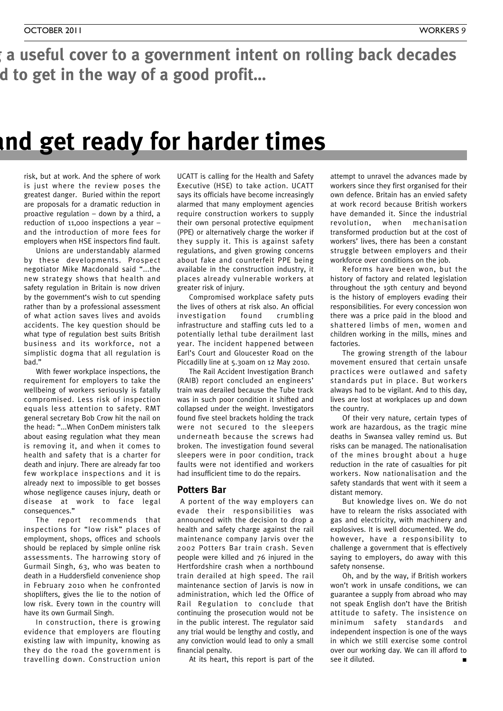a useful cover to a government intent on rolling back decades d to get in the way of a good profit...

### **healthcarrings hander times**

risk, but at work. And the sphere of work is just where the review poses the greatest danger. Buried within the report are proposals for a dramatic reduction in proactive regulation – down by a third, a reduction of 11,000 inspections a year – and the introduction of more fees for employers when HSE inspectors find fault.

Unions are understandably alarmed by these developments. Prospect negotiator Mike Macdonald said "...the new strategy shows that health and safety regulation in Britain is now driven by the government's wish to cut spending rather than by a professional assessment of what action saves lives and avoids accidents. The key question should be what type of regulation best suits British business and its workforce, not a simplistic dogma that all regulation is bad."

With fewer workplace inspections, the requirement for employers to take the wellbeing of workers seriously is fatally compromised. Less risk of inspection equals less attention to safety. RMT general secretary Bob Crow hit the nail on the head: "...When ConDem ministers talk about easing regulation what they mean is removing it, and when it comes to health and safety that is a charter for death and injury. There are already far too few workplace inspections and it is already next to impossible to get bosses whose negligence causes injury, death or disease at work to face legal consequences."

The report recommends that inspections for "low risk" places of employment, shops, offices and schools should be replaced by simple online risk assessments. The harrowing story of Gurmail Singh, 63, who was beaten to death in a Huddersfield convenience shop in February 2010 when he confronted shoplifters, gives the lie to the notion of low risk. Every town in the country will have its own Gurmail Singh.

In construction, there is growing evidence that employers are flouting existing law with impunity, knowing as they do the road the government is travelling down. Construction union

UCATT is calling for the Health and Safety Executive (HSE) to take action. UCATT says its officials have become increasingly alarmed that many employment agencies require construction workers to supply their own personal protective equipment (PPE) or alternatively charge the worker if they supply it. This is against safety regulations, and given growing concerns about fake and counterfeit PPE being available in the construction industry, it places already vulnerable workers at greater risk of injury.

Compromised workplace safety puts the lives of others at risk also. An official investigation found crumbling infrastructure and staffing cuts led to a potentially lethal tube derailment last year. The incident happened between Earl's Court and Gloucester Road on the Piccadilly line at 5.30am on 12 May 2010.

The Rail Accident Investigation Branch (RAIB) report concluded an engineers' train was derailed because the Tube track was in such poor condition it shifted and collapsed under the weight. Investigators found five steel brackets holding the track were not secured to the sleepers underneath because the screws had broken. The investigation found several sleepers were in poor condition, track faults were not identified and workers had insufficient time to do the repairs.

### **Potters Bar**

A portent of the way employers can evade their responsibilities was announced with the decision to drop a health and safety charge against the rail maintenance company Jarvis over the 2002 Potters Bar train crash. Seven people were killed and 76 injured in the Hertfordshire crash when a northbound train derailed at high speed. The rail maintenance section of Jarvis is now in administration, which led the Office of Rail Regulation to conclude that continuing the prosecution would not be in the public interest. The regulator said any trial would be lengthy and costly, and any conviction would lead to only a small financial penalty.

At its heart, this report is part of the

attempt to unravel the advances made by workers since they first organised for their own defence. Britain has an envied safety at work record because British workers have demanded it. Since the industrial revolution, when mechanisation transformed production but at the cost of workers' lives, there has been a constant struggle between employers and their workforce over conditions on the job.

Reforms have been won, but the history of factory and related legislation throughout the 19th century and beyond is the history of employers evading their responsibilities. For every concession won there was a price paid in the blood and shattered limbs of men, women and children working in the mills, mines and factories.

The growing strength of the labour movement ensured that certain unsafe practices were outlawed and safety standards put in place. But workers always had to be vigilant. And to this day, lives are lost at workplaces up and down the country.

Of their very nature, certain types of work are hazardous, as the tragic mine deaths in Swansea valley remind us. But risks can be managed. The nationalisation of the mines brought about a huge reduction in the rate of casualties for pit workers. Now nationalisation and the safety standards that went with it seem a distant memory.

But knowledge lives on. We do not have to relearn the risks associated with gas and electricity, with machinery and explosives. It is well documented. We do, however, have a responsibility to challenge a government that is effectively saying to employers, do away with this safety nonsense.

Oh, and by the way, if British workers won't work in unsafe conditions, we can guarantee a supply from abroad who may not speak English don't have the British attitude to safety. The insistence on minimum safety standards and independent inspection is one of the ways in which we still exercise some control over our working day. We can ill afford to see it diluted.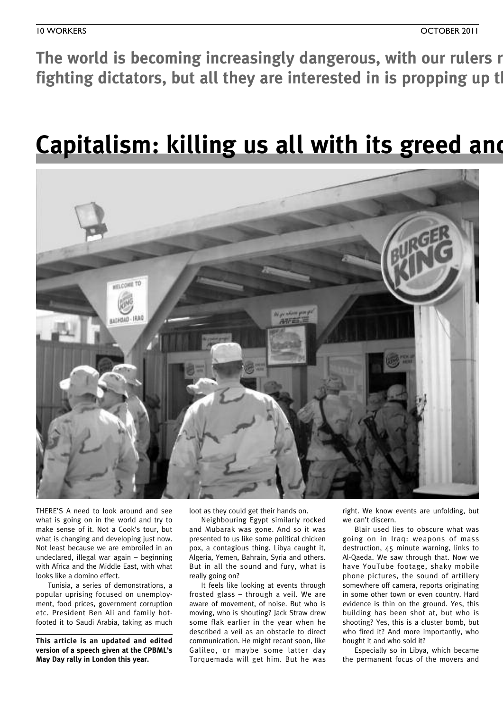The world is becoming increasingly dangerous, with our rulers r **fighting** dictators, but all they are interested in is propping up the

### **Capitalism: killing us all with its greed and**



THERE'S A need to look around and see what is going on in the world and try to make sense of it. Not a Cook's tour, but what is changing and developing just now. Not least because we are embroiled in an undeclared, illegal war again – beginning with Africa and the Middle East, with what looks like a domino effect.

Tunisia, a series of demonstrations, a popular uprising focused on unemployment, food prices, government corruption etc. President Ben Ali and family hotfooted it to Saudi Arabia, taking as much

**This article is an updated and edited version of a speech given at the CPBML's May Day rally in London this year.**

loot as they could get their hands on.

Neighbouring Egypt similarly rocked and Mubarak was gone. And so it was presented to us like some political chicken pox, a contagious thing. Libya caught it, Algeria, Yemen, Bahrain, Syria and others. But in all the sound and fury, what is really going on?

It feels like looking at events through frosted glass – through a veil. We are aware of movement, of noise. But who is moving, who is shouting? Jack Straw drew some flak earlier in the year when he described a veil as an obstacle to direct communication. He might recant soon, like Galileo, or maybe some latter day Torquemada will get him. But he was

right. We know events are unfolding, but we can't discern.

Blair used lies to obscure what was going on in Iraq: weapons of mass destruction, 45 minute warning, links to Al-Qaeda. We saw through that. Now we have YouTube footage, shaky mobile phone pictures, the sound of artillery somewhere off camera, reports originating in some other town or even country. Hard evidence is thin on the ground. Yes, this building has been shot at, but who is shooting? Yes, this is a cluster bomb, but who fired it? And more importantly, who bought it and who sold it?

Especially so in Libya, which became the permanent focus of the movers and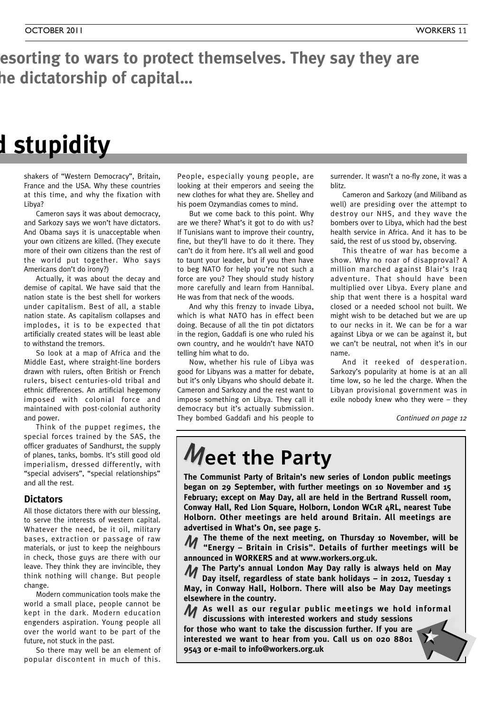### esorting to wars to protect themselves. They say they are **fighting dictators, but all they are interested in is propping up the dictatorship of capital…**

### **Capitalism: killing us all with its greed and stupidity**

shakers of "Western Democracy", Britain, France and the USA. Why these countries at this time, and why the fixation with Libya?

Cameron says it was about democracy, and Sarkozy says we won't have dictators. And Obama says it is unacceptable when your own citizens are killed. (They execute more of their own citizens than the rest of the world put together. Who says Americans don't do irony?)

Actually, it was about the decay and demise of capital. We have said that the nation state is the best shell for workers under capitalism. Best of all, a stable nation state. As capitalism collapses and implodes, it is to be expected that artificially created states will be least able to withstand the tremors.

So look at a map of Africa and the Middle East, where straight-line borders drawn with rulers, often British or French rulers, bisect centuries-old tribal and ethnic differences. An artificial hegemony imposed with colonial force and maintained with post-colonial authority and power.

Think of the puppet regimes, the special forces trained by the SAS, the officer graduates of Sandhurst, the supply of planes, tanks, bombs. It's still good old imperialism, dressed differently, with "special advisers", "special relationships" and all the rest.

### **Dictators**

All those dictators there with our blessing, to serve the interests of western capital. Whatever the need, be it oil, military bases, extraction or passage of raw materials, or just to keep the neighbours in check, those guys are there with our leave. They think they are invincible, they think nothing will change. But people change.

Modern communication tools make the world a small place, people cannot be kept in the dark. Modern education engenders aspiration. Young people all over the world want to be part of the future, not stuck in the past.

So there may well be an element of popular discontent in much of this.

People, especially young people, are looking at their emperors and seeing the new clothes for what they are. Shelley and his poem Ozymandias comes to mind.

But we come back to this point. Why are we there? What's it got to do with us? If Tunisians want to improve their country, fine, but they'll have to do it there. They can't do it from here. It's all well and good to taunt your leader, but if you then have to beg NATO for help you're not such a force are you? They should study history more carefully and learn from Hannibal. He was from that neck of the woods.

And why this frenzy to invade Libya, which is what NATO has in effect been doing. Because of all the tin pot dictators in the region, Gaddafi is one who ruled his own country, and he wouldn't have NATO telling him what to do.

Now, whether his rule of Libya was good for Libyans was a matter for debate, but it's only Libyans who should debate it. Cameron and Sarkozy and the rest want to impose something on Libya. They call it democracy but it's actually submission. They bombed Gaddafi and his people to

surrender. It wasn't a no-fly zone, it was a blitz.

Cameron and Sarkozy (and Miliband as well) are presiding over the attempt to destroy our NHS, and they wave the bombers over to Libya, which had the best health service in Africa. And it has to be said, the rest of us stood by, observing.

This theatre of war has become a show. Why no roar of disapproval? A million marched against Blair's Iraq adventure. That should have been multiplied over Libya. Every plane and ship that went there is a hospital ward closed or a needed school not built. We might wish to be detached but we are up to our necks in it. We can be for a war against Libya or we can be against it, but we can't be neutral, not when it's in our name.

And it reeked of desperation. Sarkozy's popularity at home is at an all time low, so he led the charge. When the Libyan provisional government was in exile nobody knew who they were – they

*Continued on page 12*

### **Meet the Party**

**The Communist Party of Britain's new series of London public meetings began on 29 September, with further meetings on 10 November and 15 February; except on May Day, all are held in the Bertrand Russell room, Conway Hall, Red Lion Square, Holborn, London WC1R 4RL, nearest Tube Holborn. Other meetings are held around Britain. All meetings are advertised in What's On, see page 5.**

**The theme of the next meeting, on Thursday 10 November, will be "Energy – Britain in Crisis". Details of further meetings will be announced in WORKERS and at www.workers.org.uk.** M

**The Party's annual London May Day rally is always held on May** M **Day itself, regardless of state bank holidays – in 2012, Tuesday 1 May, in Conway Hall, Holborn. There will also be May Day meetings**

**elsewhere in the country.**

**As well as our regular public meetings we hold informal** M **discussions with interested workers and study sessions**

**for those who want to take the discussion further. If you are interested we want to hear from you. Call us on 020 8801 9543 or e-mail to info@workers.org.uk**

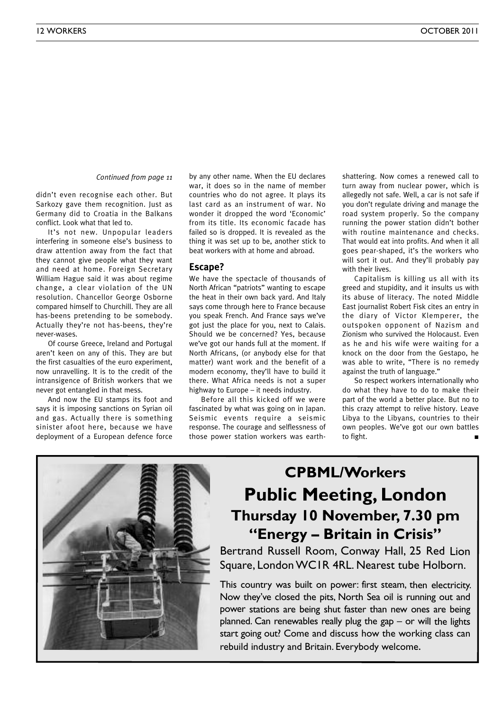*Continued from page <sup>11</sup>*

didn't even recognise each other. But Sarkozy gave them recognition. Just as Germany did to Croatia in the Balkans conflict. Look what that led to.

It's not new. Unpopular leaders interfering in someone else's business to draw attention away from the fact that they cannot give people what they want and need at home. Foreign Secretary William Hague said it was about regime change, a clear violation of the UN resolution. Chancellor George Osborne compared himself to Churchill. They are all has-beens pretending to be somebody. Actually they're not has-beens, they're never-wases.

Of course Greece, Ireland and Portugal aren't keen on any of this. They are but the first casualties of the euro experiment, now unravelling. It is to the credit of the intransigence of British workers that we never got entangled in that mess.

And now the EU stamps its foot and says it is imposing sanctions on Syrian oil and gas. Actually there is something sinister afoot here, because we have deployment of a European defence force

by any other name. When the EU declares war, it does so in the name of member countries who do not agree. It plays its last card as an instrument of war. No wonder it dropped the word 'Economic' from its title. Its economic facade has failed so is dropped. It is revealed as the thing it was set up to be, another stick to beat workers with at home and abroad.

#### **Escape?**

We have the spectacle of thousands of North African "patriots" wanting to escape the heat in their own back yard. And Italy says come through here to France because you speak French. And France says we've got just the place for you, next to Calais. Should we be concerned? Yes, because we've got our hands full at the moment. If North Africans, (or anybody else for that matter) want work and the benefit of a modern economy, they'll have to build it there. What Africa needs is not a super highway to Europe – it needs industry.

Before all this kicked off we were fascinated by what was going on in Japan. Seismic events require a seismic response. The courage and selflessness of those power station workers was earthshattering. Now comes a renewed call to turn away from nuclear power, which is allegedly not safe. Well, a car is not safe if you don't regulate driving and manage the road system properly. So the company running the power station didn't bother with routine maintenance and checks. That would eat into profits. And when it all goes pear-shaped, it's the workers who will sort it out. And they'll probably pay with their lives.

Capitalism is killing us all with its greed and stupidity, and it insults us with its abuse of literacy. The noted Middle East journalist Robert Fisk cites an entry in the diary of Victor Klemperer, the outspoken opponent of Nazism and Zionism who survived the Holocaust. Even as he and his wife were waiting for a knock on the door from the Gestapo, he was able to write, "There is no remedy against the truth of language."

So respect workers internationally who do what they have to do to make their part of the world a better place. But no to this crazy attempt to relive history. Leave Libya to the Libyans, countries to their own peoples. We've got our own battles to fight. **■**

### **CPBML/Workers Public Meeting, London Thursday 10 November, 7.30 pm "Energy – Britain in Crisis"**

Bertrand Russell Room, Conway Hall, 25 Red Lion Square, London WC1R 4RL. Nearest tube Holborn.

This country was built on power: first steam, then electricity. Now they've closed the pits, North Sea oil is running out and power stations are being shut faster than new ones are being planned. Can renewables really plug the gap – or will the lights start going out? Come and discuss how the working class can rebuild industry and Britain. Everybody welcome.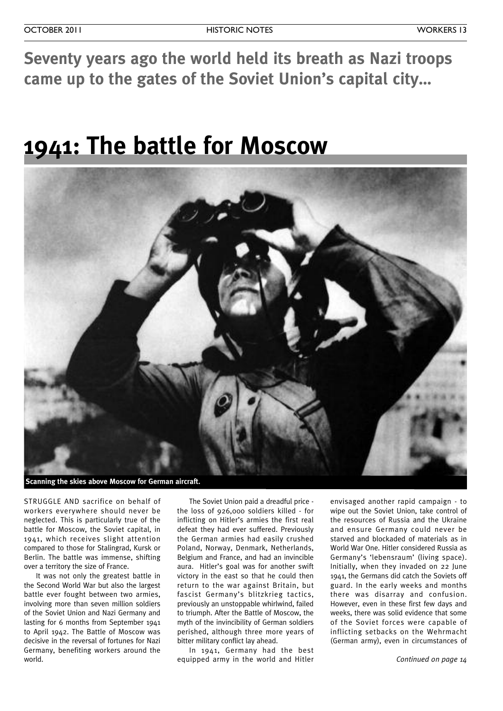**Seventy years ago the world held its breath as Nazi troops came up to the gates of the Soviet Union's capital city…**

### **1941: The battle for Moscow**



STRUGGLE AND sacrifice on behalf of workers everywhere should never be neglected. This is particularly true of the battle for Moscow, the Soviet capital, in 1941, which receives slight attention compared to those for Stalingrad, Kursk or Berlin. The battle was immense, shifting over a territory the size of France.

It was not only the greatest battle in the Second World War but also the largest battle ever fought between two armies, involving more than seven million soldiers of the Soviet Union and Nazi Germany and lasting for 6 months from September 1941 to April 1942. The Battle of Moscow was decisive in the reversal of fortunes for Nazi Germany, benefiting workers around the world.

The Soviet Union paid a dreadful price the loss of 926,000 soldiers killed - for inflicting on Hitler's armies the first real defeat they had ever suffered. Previously the German armies had easily crushed Poland, Norway, Denmark, Netherlands, Belgium and France, and had an invincible aura. Hitler's goal was for another swift victory in the east so that he could then return to the war against Britain, but fascist Germany's blitzkrieg tactics, previously an unstoppable whirlwind, failed to triumph. After the Battle of Moscow, the myth of the invincibility of German soldiers perished, although three more years of bitter military conflict lay ahead.

In 1941, Germany had the best equipped army in the world and Hitler envisaged another rapid campaign - to wipe out the Soviet Union, take control of the resources of Russia and the Ukraine and ensure Germany could never be starved and blockaded of materials as in World War One. Hitler considered Russia as Germany's 'lebensraum' (living space). Initially, when they invaded on 22 June 1941, the Germans did catch the Soviets off guard. In the early weeks and months there was disarray and confusion. However, even in these first few days and weeks, there was solid evidence that some of the Soviet forces were capable of inflicting setbacks on the Wehrmacht (German army), even in circumstances of

*Continued on page 14*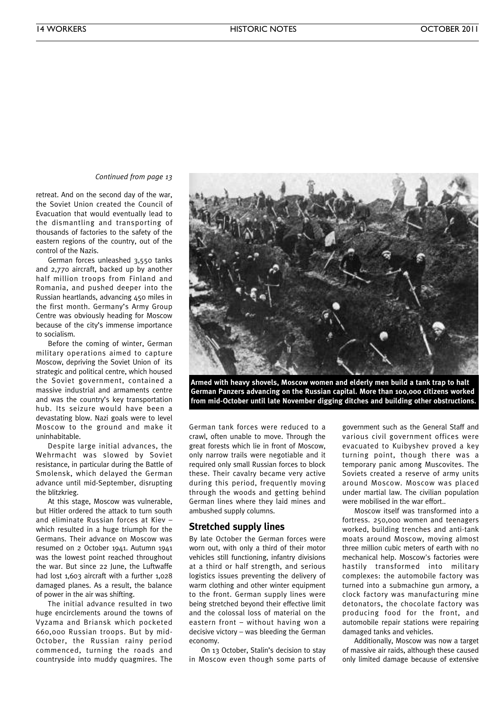#### *Continued from page 13*

retreat. And on the second day of the war, the Soviet Union created the Council of Evacuation that would eventually lead to the dismantling and transporting of thousands of factories to the safety of the eastern regions of the country, out of the control of the Nazis.

German forces unleashed 3,550 tanks and 2,770 aircraft, backed up by another half million troops from Finland and Romania, and pushed deeper into the Russian heartlands, advancing 450 miles in the first month. Germany's Army Group Centre was obviously heading for Moscow because of the city's immense importance to socialism.

Before the coming of winter, German military operations aimed to capture Moscow, depriving the Soviet Union of its strategic and political centre, which housed the Soviet government, contained a massive industrial and armaments centre and was the country's key transportation hub. Its seizure would have been a devastating blow. Nazi goals were to level Moscow to the ground and make it uninhabitable.

Despite large initial advances, the Wehrmacht was slowed by Soviet resistance, in particular during the Battle of Smolensk, which delayed the German advance until mid-September, disrupting the blitzkrieg.

At this stage, Moscow was vulnerable, but Hitler ordered the attack to turn south and eliminate Russian forces at Kiev – which resulted in a huge triumph for the Germans. Their advance on Moscow was resumed on 2 October 1941. Autumn 1941 was the lowest point reached throughout the war. But since 22 June, the Luftwaffe had lost 1,603 aircraft with a further 1,028 damaged planes. As a result, the balance of power in the air was shifting.

The initial advance resulted in two huge encirclements around the towns of Vyzama and Briansk which pocketed 660,000 Russian troops. But by mid-October, the Russian rainy period commenced, turning the roads and countryside into muddy quagmires. The



**Armed with heavy shovels, Moscow women and elderly men build a tank trap to halt German Panzers advancing on the Russian capital. More than 100,000 citizens worked from mid-October until late November digging ditches and building other obstructions.**

German tank forces were reduced to a crawl, often unable to move. Through the great forests which lie in front of Moscow, only narrow trails were negotiable and it required only small Russian forces to block these. Their cavalry became very active during this period, frequently moving through the woods and getting behind German lines where they laid mines and ambushed supply columns.

#### **Stretched supply lines**

By late October the German forces were worn out, with only a third of their motor vehicles still functioning, infantry divisions at a third or half strength, and serious logistics issues preventing the delivery of warm clothing and other winter equipment to the front. German supply lines were being stretched beyond their effective limit and the colossal loss of material on the eastern front – without having won a decisive victory – was bleeding the German economy.

On 13 October, Stalin's decision to stay in Moscow even though some parts of government such as the General Staff and various civil government offices were evacuated to Kuibyshev proved a key turning point, though there was a temporary panic among Muscovites. The Soviets created a reserve of army units around Moscow. Moscow was placed under martial law. The civilian population were mobilised in the war effort..

Moscow itself was transformed into a fortress. 250,000 women and teenagers worked, building trenches and anti-tank moats around Moscow, moving almost three million cubic meters of earth with no mechanical help. Moscow's factories were hastily transformed into military complexes: the automobile factory was turned into a submachine gun armory, a clock factory was manufacturing mine detonators, the chocolate factory was producing food for the front, and automobile repair stations were repairing damaged tanks and vehicles.

Additionally, Moscow was now a target of massive air raids, although these caused only limited damage because of extensive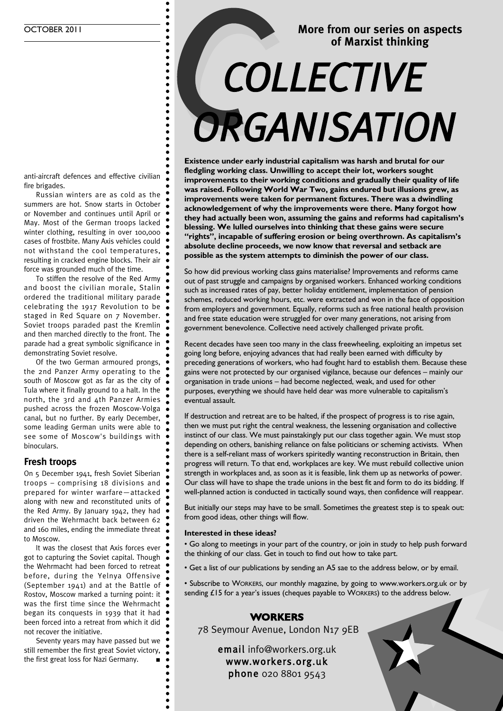### **More from our series on aspects of Marxist thinking** More from our series on a<br>of Marxist thinking<br>ECTIVE *ORGANISATION*

anti-aircraft defences and effective civilian fire brigades.

Russian winters are as cold as the summers are hot. Snow starts in October or November and continues until April or May. Most of the German troops lacked winter clothing, resulting in over 100,000 cases of frostbite. Many Axis vehicles could not withstand the cool temperatures, resulting in cracked engine blocks. Their air force was grounded much of the time.

To stiffen the resolve of the Red Army and boost the civilian morale, Stalin ordered the traditional military parade celebrating the 1917 Revolution to be staged in Red Square on 7 November. Soviet troops paraded past the Kremlin and then marched directly to the front. The parade had a great symbolic significance in demonstrating Soviet resolve.

Of the two German armoured prongs, the 2nd Panzer Army operating to the south of Moscow got as far as the city of Tula where it finally ground to a halt. In the north, the 3rd and 4th Panzer Armies pushed across the frozen Moscow-Volga canal, but no further. By early December, some leading German units were able to see some of Moscow's buildings with binoculars.

### **Fresh troops**

On 5 December 1941, fresh Soviet Siberian troops – comprising 18 divisions and prepared for winter warfare—attacked along with new and reconstituted units of the Red Army. By January 1942, they had driven the Wehrmacht back between 62 and 160 miles, ending the immediate threat to Moscow.

It was the closest that Axis forces ever got to capturing the Soviet capital. Though the Wehrmacht had been forced to retreat before, during the Yelnya Offensive (September 1941) and at the Battle of Rostov, Moscow marked a turning point: it was the first time since the Wehrmacht began its conquests in 1939 that it had been forced into a retreat from which it did not recover the initiative.

Seventy years may have passed but we still remember the first great Soviet victory, the first great loss for Nazi Germany. **■**

**Existence under early industrial capitalism was harsh and brutal for our fledgling working class. Unwilling to accept their lot, workers sought improvements to their working conditions and gradually their quality of life was raised. Following World War Two, gains endured but illusions grew, as improvements were taken for permanent fixtures. There was a dwindling acknowledgement of why the improvements were there. Many forgot how they had actually been won, assuming the gains and reforms had capitalism's blessing. We lulled ourselves into thinking that these gains were secure "rights", incapable of suffering erosion or being overthrown. As capitalism's absolute decline proceeds, we now know that reversal and setback are possible as the system attempts to diminish the power of our class.**

So how did previous working class gains materialise? Improvements and reforms came out of past struggle and campaigns by organised workers. Enhanced working conditions such as increased rates of pay, better holiday entitlement, implementation of pension schemes, reduced working hours, etc. were extracted and won in the face of opposition from employers and government. Equally, reforms such as free national health provision and free state education were struggled for over many generations, not arising from government benevolence. Collective need actively challenged private profit.

Recent decades have seen too many in the class freewheeling, exploiting an impetus set going long before, enjoying advances that had really been earned with difficulty by preceding generations of workers, who had fought hard to establish them. Because these gains were not protected by our organised vigilance, because our defences – mainly our organisation in trade unions – had become neglected, weak, and used for other purposes, everything we should have held dear was more vulnerable to capitalism's eventual assault.

If destruction and retreat are to be halted, if the prospect of progress is to rise again, then we must put right the central weakness, the lessening organisation and collective instinct of our class. We must painstakingly put our class together again. We must stop depending on others, banishing reliance on false politicians or scheming activists. When there is a self-reliant mass of workers spiritedly wanting reconstruction in Britain, then progress will return. To that end, workplaces are key. We must rebuild collective union strength in workplaces and, as soon as it is feasible, link them up as networks of power. Our class will have to shape the trade unions in the best fit and form to do its bidding. If well-planned action is conducted in tactically sound ways, then confidence will reappear.

But initially our steps may have to be small. Sometimes the greatest step is to speak out: from good ideas, other things will flow.

#### **Interested in these ideas?**

• Go along to meetings in your part of the country, or join in study to help push forward the thinking of our class. Get in touch to find out how to take part.

• Get a list of our publications by sending an A5 sae to the address below, or by email.

• Subscribe to WORKERS, our monthly magazine, by going to www.workers.org.uk or by sending £15 for a year's issues (cheques payable to WORKERS) to the address below.

### **WORKERS**

78 Seymour Avenue, London N17 9EB

email info@workers.org.uk www.workers.org.uk phone 020 8801 9543